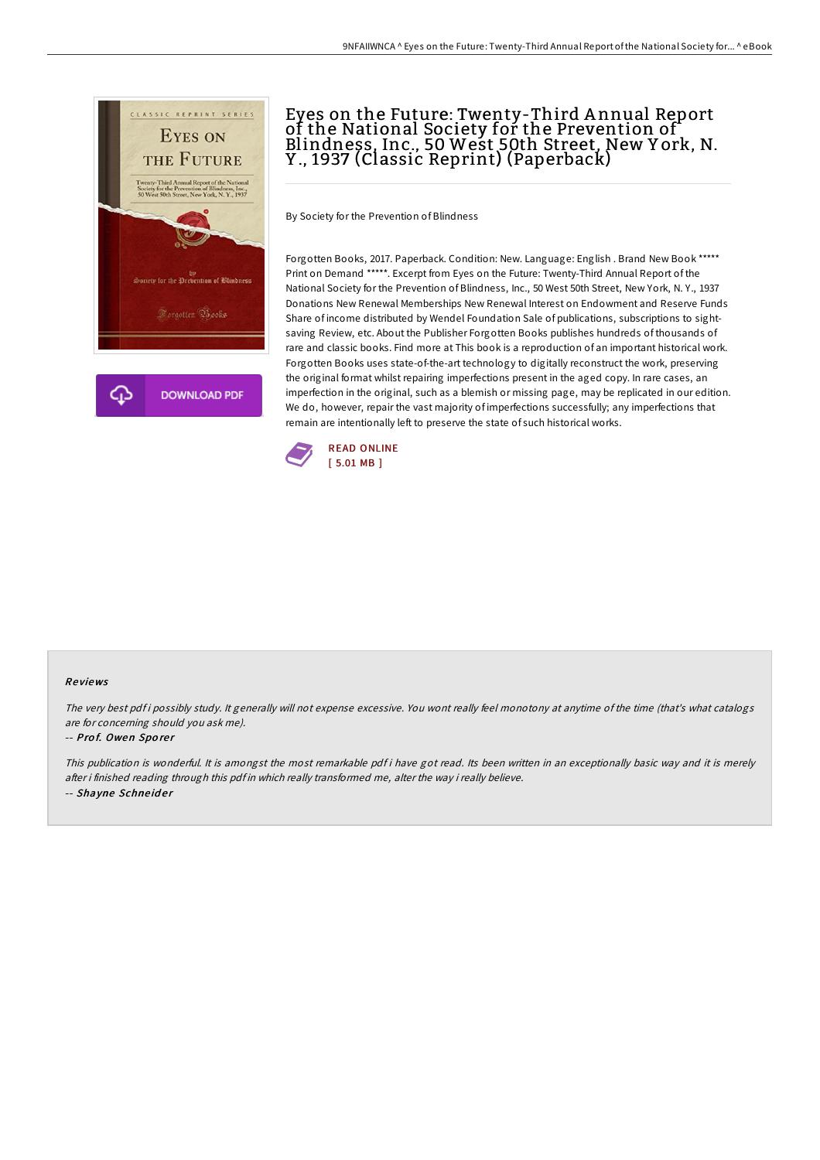

# Eyes on the Future: Twenty-Third A nnual Report of the National Society for the Prevention of Blindness, Inc., 50 West 50th Street, New Y ork, N. Y ., 1937 (Classic Reprint) (Paperback)

By Society for the Prevention of Blindness

Forgotten Books, 2017. Paperback. Condition: New. Language: English . Brand New Book \*\*\*\*\* Print on Demand \*\*\*\*\*. Excerpt from Eyes on the Future: Twenty-Third Annual Report of the National Society for the Prevention of Blindness, Inc., 50 West 50th Street, New York, N. Y., 1937 Donations New Renewal Memberships New Renewal Interest on Endowment and Reserve Funds Share of income distributed by Wendel Foundation Sale of publications, subscriptions to sightsaving Review, etc. About the Publisher Forgotten Books publishes hundreds of thousands of rare and classic books. Find more at This book is a reproduction of an important historical work. Forgotten Books uses state-of-the-art technology to digitally reconstruct the work, preserving the original format whilst repairing imperfections present in the aged copy. In rare cases, an imperfection in the original, such as a blemish or missing page, may be replicated in our edition. We do, however, repair the vast majority of imperfections successfully; any imperfections that remain are intentionally left to preserve the state of such historical works.



#### Re views

The very best pdf i possibly study. It generally will not expense excessive. You wont really feel monotony at anytime of the time (that's what catalogs are for concerning should you ask me).

#### -- Prof. Owen Sporer

This publication is wonderful. It is amongst the most remarkable pdf i have got read. Its been written in an exceptionally basic way and it is merely after i finished reading through this pdf in which really transformed me, alter the way i really believe. -- Shayne Schneider